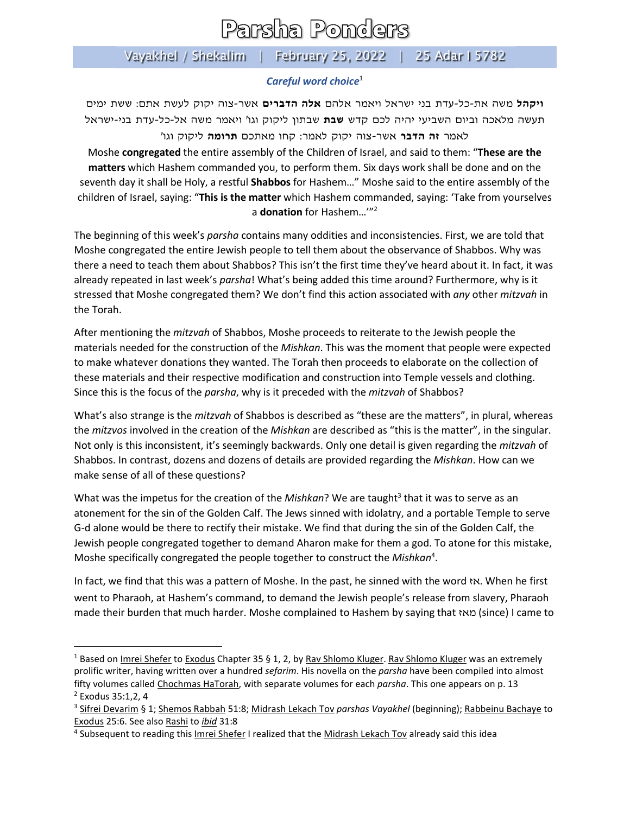## Parsha Ponders

## Vayakhel / Shekalim | February 25, 2022 | 25 Adar I 5782

## *Careful word choice*<sup>1</sup>

**ויקהל** משה את-כל-עדת בני ישראל ויאמר אלהם **אלה הדברים** אשר-צוה יקוק לעשת אתם: ששת ימים תעשה מלאכה וביום השביעי יהיה לכם קדש **שבת** שבתון ליקוק וגו' ויאמר משה אל- כל-עדת בני-ישראל לאמר **זה הדבר** אשר-צוה יקוק לאמר: קחו מאתכם **תרומה** ליקוק וגו'

Moshe **congregated** the entire assembly of the Children of Israel, and said to them: "**These are the matters** which Hashem commanded you, to perform them. Six days work shall be done and on the seventh day it shall be Holy, a restful **Shabbos** for Hashem…" Moshe said to the entire assembly of the children of Israel, saying: "**This is the matter** which Hashem commanded, saying: 'Take from yourselves a **donation** for Hashem…'"2

The beginning of this week's *parsha* contains many oddities and inconsistencies. First, we are told that Moshe congregated the entire Jewish people to tell them about the observance of Shabbos. Why was there a need to teach them about Shabbos? This isn't the first time they've heard about it. In fact, it was already repeated in last week's *parsha*! What's being added this time around? Furthermore, why is it stressed that Moshe congregated them? We don't find this action associated with *any* other *mitzvah* in the Torah.

After mentioning the *mitzvah* of Shabbos, Moshe proceeds to reiterate to the Jewish people the materials needed for the construction of the *Mishkan*. This was the moment that people were expected to make whatever donations they wanted. The Torah then proceeds to elaborate on the collection of these materials and their respective modification and construction into Temple vessels and clothing. Since this is the focus of the *parsha*, why is it preceded with the *mitzvah* of Shabbos?

What's also strange is the *mitzvah* of Shabbos is described as "these are the matters", in plural, whereas the *mitzvos* involved in the creation of the *Mishkan* are described as "this is the matter", in the singular. Not only is this inconsistent, it's seemingly backwards. Only one detail is given regarding the *mitzvah* of Shabbos. In contrast, dozens and dozens of details are provided regarding the *Mishkan*. How can we make sense of all of these questions?

What was the impetus for the creation of the *Mishkan*? We are taught <sup>3</sup> that it was to serve as an atonement for the sin of the Golden Calf. The Jews sinned with idolatry, and a portable Temple to serve G-d alone would be there to rectify their mistake. We find that during the sin of the Golden Calf, the Jewish people congregated together to demand Aharon make for them a god. To atone for this mistake, Moshe specifically congregated the people together to construct the *Mishkan*<sup>4</sup> .

In fact, we find that this was a pattern of Moshe. In the past, he sinned with the word אז. When he first went to Pharaoh, at Hashem's command, to demand the Jewish people's release from slavery, Pharaoh made their burden that much harder. Moshe complained to Hashem by saying that מאז) since) I came to

<sup>&</sup>lt;sup>1</sup> Based on Imrei Shefer to Exodus Chapter 35 § 1, 2, by Rav Shlomo Kluger. Rav Shlomo Kluger was an extremely prolific writer, having written over a hundred *sefarim*. His novella on the *parsha* have been compiled into almost fifty volumes called Chochmas HaTorah, with separate volumes for each *parsha*. This one appears on p. 13

<sup>2</sup> Exodus 35:1,2, 4

<sup>3</sup> Sifrei Devarim § 1; Shemos Rabbah 51:8; Midrash Lekach Tov *parshas Vayakhel* (beginning); Rabbeinu Bachaye to Exodus 25:6. See also Rashi to *ibid* 31:8

<sup>4</sup> Subsequent to reading this Imrei Shefer I realized that the Midrash Lekach Tov already said this idea